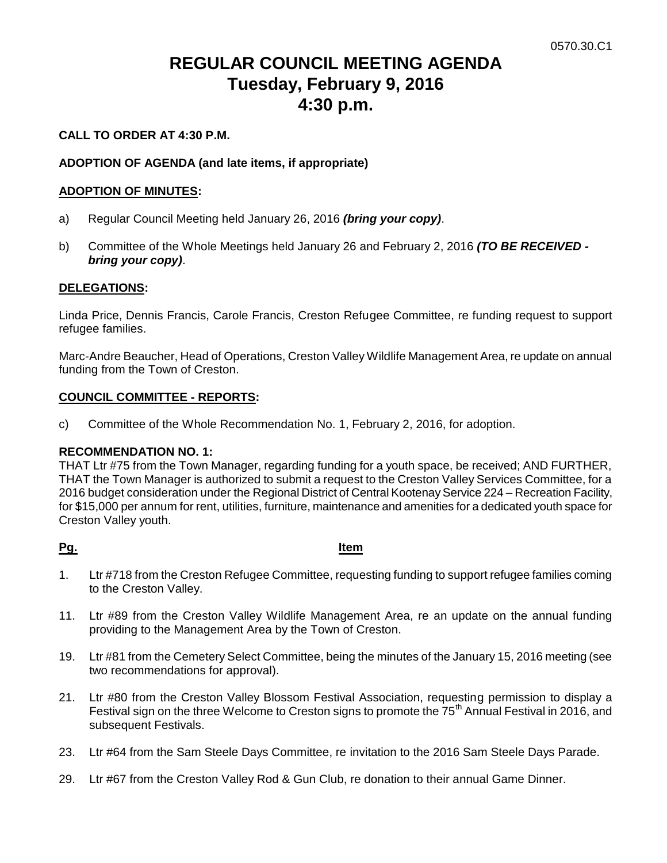# **REGULAR COUNCIL MEETING AGENDA Tuesday, February 9, 2016 4:30 p.m.**

## **CALL TO ORDER AT 4:30 P.M.**

## **ADOPTION OF AGENDA (and late items, if appropriate)**

## **ADOPTION OF MINUTES:**

- a) Regular Council Meeting held January 26, 2016 *(bring your copy)*.
- b) Committee of the Whole Meetings held January 26 and February 2, 2016 *(TO BE RECEIVED bring your copy)*.

## **DELEGATIONS:**

Linda Price, Dennis Francis, Carole Francis, Creston Refugee Committee, re funding request to support refugee families.

Marc-Andre Beaucher, Head of Operations, Creston Valley Wildlife Management Area, re update on annual funding from the Town of Creston.

## **COUNCIL COMMITTEE - REPORTS:**

c) Committee of the Whole Recommendation No. 1, February 2, 2016, for adoption.

## **RECOMMENDATION NO. 1:**

THAT Ltr #75 from the Town Manager, regarding funding for a youth space, be received; AND FURTHER, THAT the Town Manager is authorized to submit a request to the Creston Valley Services Committee, for a 2016 budget consideration under the Regional District of Central Kootenay Service 224 – Recreation Facility, for \$15,000 per annum for rent, utilities, furniture, maintenance and amenities for a dedicated youth space for Creston Valley youth.

#### **Pg. Item**

- 1. Ltr #718 from the Creston Refugee Committee, requesting funding to support refugee families coming to the Creston Valley.
- 11. Ltr #89 from the Creston Valley Wildlife Management Area, re an update on the annual funding providing to the Management Area by the Town of Creston.
- 19. Ltr #81 from the Cemetery Select Committee, being the minutes of the January 15, 2016 meeting (see two recommendations for approval).
- 21. Ltr #80 from the Creston Valley Blossom Festival Association, requesting permission to display a Festival sign on the three Welcome to Creston signs to promote the 75<sup>th</sup> Annual Festival in 2016, and subsequent Festivals.
- 23. Ltr #64 from the Sam Steele Days Committee, re invitation to the 2016 Sam Steele Days Parade.
- 29. Ltr #67 from the Creston Valley Rod & Gun Club, re donation to their annual Game Dinner.